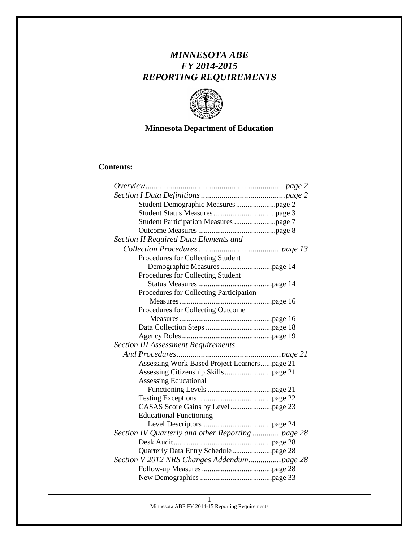# *MINNESOTA ABE FY 2014-2015 REPORTING REQUIREMENTS*



# **Minnesota Department of Education**

## **Contents:**

| Section II Required Data Elements and            |
|--------------------------------------------------|
|                                                  |
| Procedures for Collecting Student                |
|                                                  |
| Procedures for Collecting Student                |
|                                                  |
| Procedures for Collecting Participation          |
|                                                  |
| Procedures for Collecting Outcome                |
|                                                  |
|                                                  |
|                                                  |
| <b>Section III Assessment Requirements</b>       |
|                                                  |
| Assessing Work-Based Project Learnerspage 21     |
|                                                  |
| <b>Assessing Educational</b>                     |
|                                                  |
|                                                  |
|                                                  |
| <b>Educational Functioning</b>                   |
|                                                  |
| Section IV Quarterly and other Reporting page 28 |
|                                                  |
|                                                  |
| Section V 2012 NRS Changes Addendumpage 28       |
|                                                  |
|                                                  |

Minnesota ABE FY 2014-15 Reporting Requirements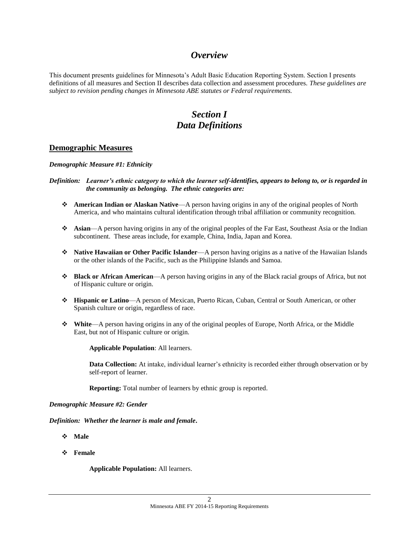## *Overview*

This document presents guidelines for Minnesota's Adult Basic Education Reporting System. Section I presents definitions of all measures and Section II describes data collection and assessment procedures. *These guidelines are subject to revision pending changes in Minnesota ABE statutes or Federal requirements.*

# *Section I Data Definitions*

### **Demographic Measures**

*Demographic Measure #1: Ethnicity*

- *Definition: Learner's ethnic category to which the learner self-identifies, appears to belong to, or is regarded in the community as belonging. The ethnic categories are:*
	- **American Indian or Alaskan Native**—A person having origins in any of the original peoples of North America, and who maintains cultural identification through tribal affiliation or community recognition.
	- **Asian**—A person having origins in any of the original peoples of the Far East, Southeast Asia or the Indian subcontinent. These areas include, for example, China, India, Japan and Korea.
	- **Native Hawaiian or Other Pacific Islander**—A person having origins as a native of the Hawaiian Islands or the other islands of the Pacific, such as the Philippine Islands and Samoa.
	- **Black or African American**—A person having origins in any of the Black racial groups of Africa, but not of Hispanic culture or origin.
	- **Hispanic or Latino**—A person of Mexican, Puerto Rican, Cuban, Central or South American, or other Spanish culture or origin, regardless of race.
	- **White**—A person having origins in any of the original peoples of Europe, North Africa, or the Middle East, but not of Hispanic culture or origin.

**Applicable Population**: All learners.

**Data Collection:** At intake, individual learner's ethnicity is recorded either through observation or by self-report of learner.

**Reporting:** Total number of learners by ethnic group is reported.

#### *Demographic Measure #2: Gender*

*Definition: Whether the learner is male and female***.**

- **Male**
- **Female**

**Applicable Population:** All learners.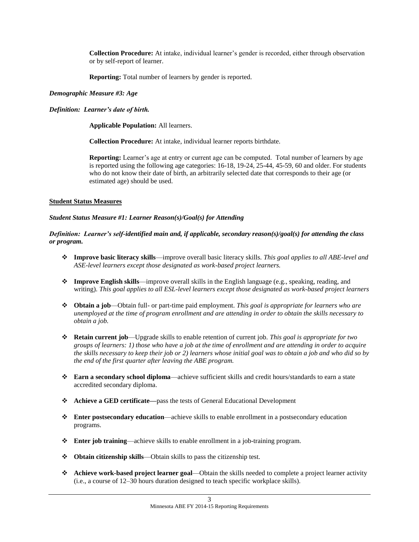**Collection Procedure:** At intake, individual learner's gender is recorded, either through observation or by self-report of learner.

**Reporting:** Total number of learners by gender is reported.

#### *Demographic Measure #3: Age*

### *Definition: Learner's date of birth.*

**Applicable Population:** All learners.

**Collection Procedure:** At intake, individual learner reports birthdate.

**Reporting:** Learner's age at entry or current age can be computed. Total number of learners by age is reported using the following age categories: 16-18, 19-24, 25-44, 45-59, 60 and older. For students who do not know their date of birth, an arbitrarily selected date that corresponds to their age (or estimated age) should be used.

### **Student Status Measures**

#### *Student Status Measure #1: Learner Reason(s)/Goal(s) for Attending*

### *Definition: Learner's self-identified main and, if applicable, secondary reason(s)/goal(s) for attending the class or program.*

- **Improve basic literacy skills**—improve overall basic literacy skills. *This goal applies to all ABE-level and ASE-level learners except those designated as work-based project learners.*
- **Improve English skills**—improve overall skills in the English language (e.g., speaking, reading, and writing). *This goal applies to all ESL-level learners except those designated as work-based project learners*
- **Obtain a job**—Obtain full- or part-time paid employment. *This goal is appropriate for learners who are unemployed at the time of program enrollment and are attending in order to obtain the skills necessary to obtain a job.*
- **Retain current job**—Upgrade skills to enable retention of current job. *This goal is appropriate for two groups of learners: 1) those who have a job at the time of enrollment and are attending in order to acquire the skills necessary to keep their job or 2) learners whose initial goal was to obtain a job and who did so by the end of the first quarter after leaving the ABE program.*
- **Earn a secondary school diploma**—achieve sufficient skills and credit hours/standards to earn a state accredited secondary diploma.
- **Achieve a GED certificate—**pass the tests of General Educational Development
- **Enter postsecondary education**—achieve skills to enable enrollment in a postsecondary education programs.
- **Enter job training**—achieve skills to enable enrollment in a job-training program.
- **Obtain citizenship skills**—Obtain skills to pass the citizenship test.
- **Achieve work-based project learner goal**—Obtain the skills needed to complete a project learner activity (i.e., a course of 12–30 hours duration designed to teach specific workplace skills).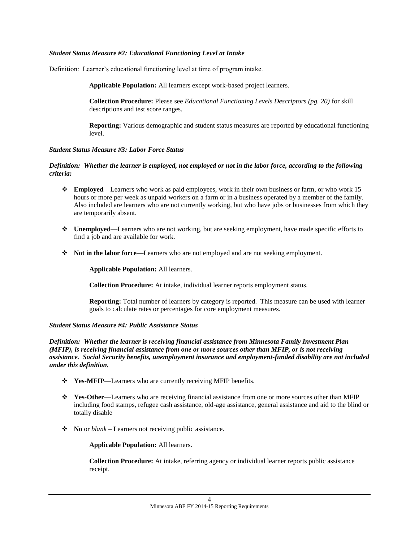#### *Student Status Measure #2: Educational Functioning Level at Intake*

Definition: Learner's educational functioning level at time of program intake.

**Applicable Population:** All learners except work-based project learners.

**Collection Procedure:** Please see *Educational Functioning Levels Descriptors (pg. 20)* for skill descriptions and test score ranges.

**Reporting:** Various demographic and student status measures are reported by educational functioning level.

#### *Student Status Measure #3: Labor Force Status*

#### *Definition: Whether the learner is employed, not employed or not in the labor force, according to the following criteria:*

- **Employed**—Learners who work as paid employees, work in their own business or farm, or who work 15 hours or more per week as unpaid workers on a farm or in a business operated by a member of the family. Also included are learners who are not currently working, but who have jobs or businesses from which they are temporarily absent.
- **Unemployed**—Learners who are not working, but are seeking employment, have made specific efforts to find a job and are available for work.
- **Not in the labor force**—Learners who are not employed and are not seeking employment.

**Applicable Population:** All learners.

**Collection Procedure:** At intake, individual learner reports employment status.

**Reporting:** Total number of learners by category is reported. This measure can be used with learner goals to calculate rates or percentages for core employment measures.

#### *Student Status Measure #4: Public Assistance Status*

*Definition: Whether the learner is receiving financial assistance from Minnesota Family Investment Plan (MFIP), is receiving financial assistance from one or more sources other than MFIP, or is not receiving assistance. Social Security benefits, unemployment insurance and employment-funded disability are not included under this definition.*

- **Yes-MFIP**—Learners who are currently receiving MFIP benefits.
- **Yes-Other**—Learners who are receiving financial assistance from one or more sources other than MFIP including food stamps, refugee cash assistance, old-age assistance, general assistance and aid to the blind or totally disable
- **No** or *blank* Learners not receiving public assistance.

#### **Applicable Population:** All learners.

**Collection Procedure:** At intake, referring agency or individual learner reports public assistance receipt.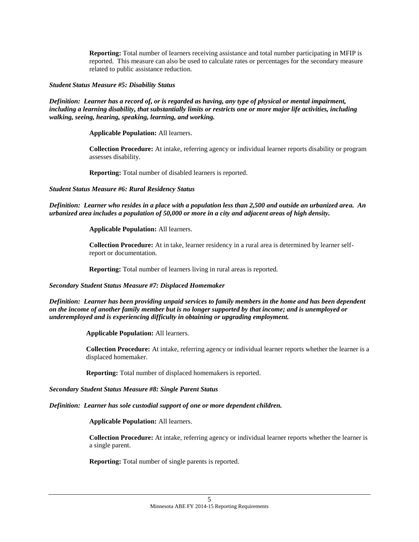**Reporting:** Total number of learners receiving assistance and total number participating in MFIP is reported. This measure can also be used to calculate rates or percentages for the secondary measure related to public assistance reduction.

#### *Student Status Measure #5: Disability Status*

#### *Definition: Learner has a record of, or is regarded as having, any type of physical or mental impairment, including a learning disability, that substantially limits or restricts one or more major life activities, including walking, seeing, hearing, speaking, learning, and working.*

**Applicable Population:** All learners.

**Collection Procedure:** At intake, referring agency or individual learner reports disability or program assesses disability.

**Reporting:** Total number of disabled learners is reported.

#### *Student Status Measure #6: Rural Residency Status*

*Definition: Learner who resides in a place with a population less than 2,500 and outside an urbanized area. An urbanized area includes a population of 50,000 or more in a city and adjacent areas of high density.*

**Applicable Population:** All learners.

**Collection Procedure:** At in take, learner residency in a rural area is determined by learner selfreport or documentation.

**Reporting:** Total number of learners living in rural areas is reported.

*Secondary Student Status Measure #7: Displaced Homemaker*

*Definition: Learner has been providing unpaid services to family members in the home and has been dependent on the income of another family member but is no longer supported by that income; and is unemployed or underemployed and is experiencing difficulty in obtaining or upgrading employment.*

**Applicable Population:** All learners.

**Collection Procedure:** At intake, referring agency or individual learner reports whether the learner is a displaced homemaker.

**Reporting:** Total number of displaced homemakers is reported.

*Secondary Student Status Measure #8: Single Parent Status*

*Definition: Learner has sole custodial support of one or more dependent children.*

**Applicable Population:** All learners.

**Collection Procedure:** At intake, referring agency or individual learner reports whether the learner is a single parent.

**Reporting:** Total number of single parents is reported.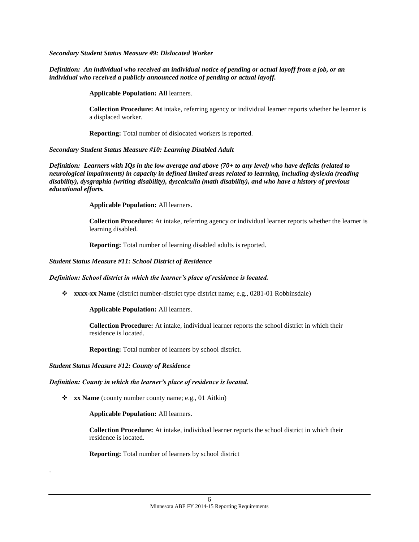*Secondary Student Status Measure #9: Dislocated Worker*

#### *Definition: An individual who received an individual notice of pending or actual layoff from a job, or an individual who received a publicly announced notice of pending or actual layoff.*

**Applicable Population: All** learners.

**Collection Procedure: At** intake, referring agency or individual learner reports whether he learner is a displaced worker.

**Reporting:** Total number of dislocated workers is reported.

#### *Secondary Student Status Measure #10: Learning Disabled Adult*

*Definition: Learners with IQs in the low average and above (70+ to any level) who have deficits (related to neurological impairments) in capacity in defined limited areas related to learning, including dyslexia (reading disability), dysgraphia (writing disability), dyscalculia (math disability), and who have a history of previous educational efforts.*

**Applicable Population:** All learners.

**Collection Procedure:** At intake, referring agency or individual learner reports whether the learner is learning disabled.

**Reporting:** Total number of learning disabled adults is reported.

#### *Student Status Measure #11: School District of Residence*

#### *Definition: School district in which the learner's place of residence is located.*

**xxxx-xx Name** (district number-district type district name; e.g., 0281-01 Robbinsdale)

**Applicable Population:** All learners.

**Collection Procedure:** At intake, individual learner reports the school district in which their residence is located.

**Reporting:** Total number of learners by school district.

*Student Status Measure #12: County of Residence*

.

#### *Definition: County in which the learner's place of residence is located.*

**\*** xx Name (county number county name; e.g., 01 Aitkin)

**Applicable Population:** All learners.

**Collection Procedure:** At intake, individual learner reports the school district in which their residence is located.

**Reporting:** Total number of learners by school district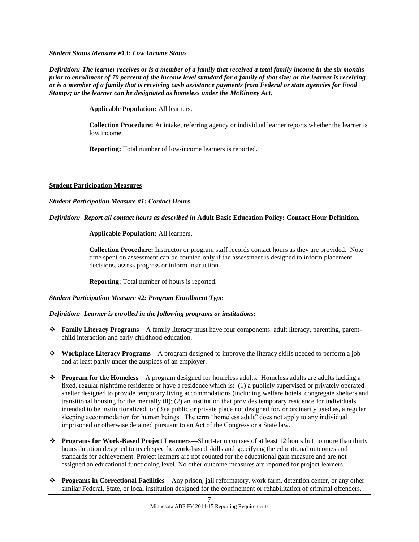*Student Status Measure #13: Low Income Status*

*Definition: The learner receives or is a member of a family that received a total family income in the six months prior to enrollment of 70 percent of the income level standard for a family of that size; or the learner is receiving or is a member of a family that is receiving cash assistance payments from Federal or state agencies for Food Stamps; or the learner can be designated as homeless under the McKinney Act.*

**Applicable Population:** All learners.

**Collection Procedure:** At intake, referring agency or individual learner reports whether the learner is low income.

**Reporting:** Total number of low-income learners is reported.

#### **Student Participation Measures**

#### *Student Participation Measure #1: Contact Hours*

### *Definition: Report all contact hours as described in* **Adult Basic Education Policy: Contact Hour Definition.**

**Applicable Population:** All learners.

**Collection Procedure:** Instructor or program staff records contact hours as they are provided. Note time spent on assessment can be counted only if the assessment is designed to inform placement decisions, assess progress or inform instruction.

**Reporting:** Total number of hours is reported.

#### *Student Participation Measure #2: Program Enrollment Type*

#### *Definition: Learner is enrolled in the following programs or institutions:*

- **Family Literacy Programs**—A family literacy must have four components: adult literacy, parenting, parentchild interaction and early childhood education.
- **Workplace Literacy Programs—**A program designed to improve the literacy skills needed to perform a job and at least partly under the auspices of an employer.
- **Program for the Homeless**—A program designed for homeless adults. Homeless adults are adults lacking a fixed, regular nighttime residence or have a residence which is: (1) a publicly supervised or privately operated shelter designed to provide temporary living accommodations (including welfare hotels, congregate shelters and transitional housing for the mentally ill); (2) an institution that provides temporary residence for individuals intended to be institutionalized; or (3) a public or private place not designed for, or ordinarily used as, a regular sleeping accommodation for human beings. The term "homeless adult" does not apply to any individual imprisoned or otherwise detained pursuant to an Act of the Congress or a State law.
- **Programs for Work-Based Project Learners—**Short-term courses of at least 12 hours but no more than thirty hours duration designed to teach specific work-based skills and specifying the educational outcomes and standards for achievement. Project learners are not counted for the educational gain measure and are not assigned an educational functioning level. No other outcome measures are reported for project learners.
- **Programs in Correctional Facilities**—Any prison, jail reformatory, work farm, detention center, or any other similar Federal, State, or local institution designed for the confinement or rehabilitation of criminal offenders.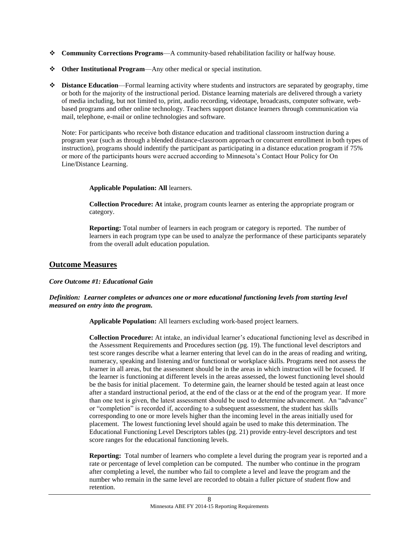- **Community Corrections Programs**—A community-based rehabilitation facility or halfway house.
- **Other Institutional Program**—Any other medical or special institution.
- $\triangle$  **Distance Education—Formal learning activity where students and instructors are separated by geography, time** or both for the majority of the instructional period. Distance learning materials are delivered through a variety of media including, but not limited to, print, audio recording, videotape, broadcasts, computer software, webbased programs and other online technology. Teachers support distance learners through communication via mail, telephone, e-mail or online technologies and software.

Note: For participants who receive both distance education and traditional classroom instruction during a program year (such as through a blended distance-classroom approach or concurrent enrollment in both types of instruction), programs should indentify the participant as participating in a distance education program if 75% or more of the participants hours were accrued according to Minnesota's Contact Hour Policy for On Line/Distance Learning.

#### **Applicable Population: All** learners.

**Collection Procedure: At** intake, program counts learner as entering the appropriate program or category.

**Reporting:** Total number of learners in each program or category is reported. The number of learners in each program type can be used to analyze the performance of these participants separately from the overall adult education population.

### **Outcome Measures**

#### *Core Outcome #1: Educational Gain*

#### *Definition: Learner completes or advances one or more educational functioning levels from starting level measured on entry into the program.*

**Applicable Population:** All learners excluding work-based project learners.

**Collection Procedure:** At intake, an individual learner's educational functioning level as described in the Assessment Requirements and Procedures section (pg. 19). The functional level descriptors and test score ranges describe what a learner entering that level can do in the areas of reading and writing, numeracy, speaking and listening and/or functional or workplace skills. Programs need not assess the learner in all areas, but the assessment should be in the areas in which instruction will be focused. If the learner is functioning at different levels in the areas assessed, the lowest functioning level should be the basis for initial placement. To determine gain, the learner should be tested again at least once after a standard instructional period, at the end of the class or at the end of the program year. If more than one test is given, the latest assessment should be used to determine advancement. An "advance" or "completion" is recorded if, according to a subsequent assessment, the student has skills corresponding to one or more levels higher than the incoming level in the areas initially used for placement. The lowest functioning level should again be used to make this determination. The Educational Functioning Level Descriptors tables (pg. 21) provide entry-level descriptors and test score ranges for the educational functioning levels.

**Reporting:** Total number of learners who complete a level during the program year is reported and a rate or percentage of level completion can be computed. The number who continue in the program after completing a level, the number who fail to complete a level and leave the program and the number who remain in the same level are recorded to obtain a fuller picture of student flow and retention.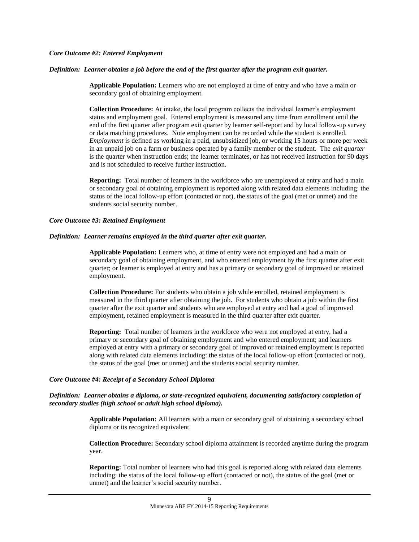#### *Core Outcome #2: Entered Employment*

#### *Definition: Learner obtains a job before the end of the first quarter after the program exit quarter.*

**Applicable Population:** Learners who are not employed at time of entry and who have a main or secondary goal of obtaining employment.

**Collection Procedure:** At intake, the local program collects the individual learner's employment status and employment goal. Entered employment is measured any time from enrollment until the end of the first quarter after program exit quarter by learner self-report and by local follow-up survey or data matching procedures. Note employment can be recorded while the student is enrolled. *Employment* is defined as working in a paid, unsubsidized job, or working 15 hours or more per week in an unpaid job on a farm or business operated by a family member or the student. The *exit quarter* is the quarter when instruction ends; the learner terminates, or has not received instruction for 90 days and is not scheduled to receive further instruction.

**Reporting:** Total number of learners in the workforce who are unemployed at entry and had a main or secondary goal of obtaining employment is reported along with related data elements including: the status of the local follow-up effort (contacted or not), the status of the goal (met or unmet) and the students social security number.

#### *Core Outcome #3: Retained Employment*

#### *Definition: Learner remains employed in the third quarter after exit quarter.*

**Applicable Population:** Learners who, at time of entry were not employed and had a main or secondary goal of obtaining employment, and who entered employment by the first quarter after exit quarter; or learner is employed at entry and has a primary or secondary goal of improved or retained employment.

**Collection Procedure:** For students who obtain a job while enrolled, retained employment is measured in the third quarter after obtaining the job. For students who obtain a job within the first quarter after the exit quarter and students who are employed at entry and had a goal of improved employment, retained employment is measured in the third quarter after exit quarter.

**Reporting:** Total number of learners in the workforce who were not employed at entry, had a primary or secondary goal of obtaining employment and who entered employment; and learners employed at entry with a primary or secondary goal of improved or retained employment is reported along with related data elements including: the status of the local follow-up effort (contacted or not), the status of the goal (met or unmet) and the students social security number.

#### *Core Outcome #4: Receipt of a Secondary School Diploma*

#### *Definition: Learner obtains a diploma, or state-recognized equivalent, documenting satisfactory completion of secondary studies (high school or adult high school diploma).*

**Applicable Population:** All learners with a main or secondary goal of obtaining a secondary school diploma or its recognized equivalent.

**Collection Procedure:** Secondary school diploma attainment is recorded anytime during the program year.

**Reporting:** Total number of learners who had this goal is reported along with related data elements including: the status of the local follow-up effort (contacted or not), the status of the goal (met or unmet) and the learner's social security number.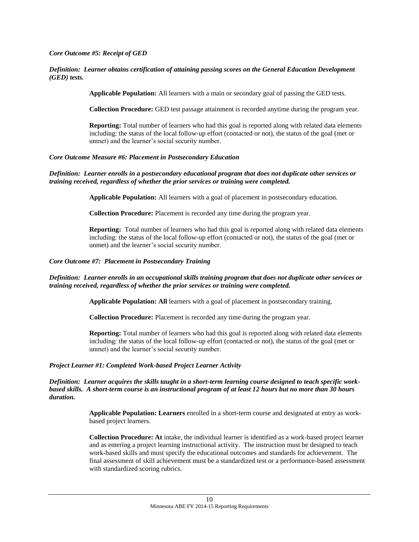#### *Core Outcome #5: Receipt of GED*

#### *Definition: Learner obtains certification of attaining passing scores on the General Education Development (GED) tests.*

**Applicable Population:** All learners with a main or secondary goal of passing the GED tests.

**Collection Procedure:** GED test passage attainment is recorded anytime during the program year.

**Reporting:** Total number of learners who had this goal is reported along with related data elements including: the status of the local follow-up effort (contacted or not), the status of the goal (met or unmet) and the learner's social security number.

#### *Core Outcome Measure #6: Placement in Postsecondary Education*

#### *Definition: Learner enrolls in a postsecondary educational program that does not duplicate other services or training received, regardless of whether the prior services or training were completed.*

**Applicable Population:** All learners with a goal of placement in postsecondary education.

**Collection Procedure:** Placement is recorded any time during the program year.

**Reporting:** Total number of learners who had this goal is reported along with related data elements including: the status of the local follow-up effort (contacted or not), the status of the goal (met or unmet) and the learner's social security number.

#### *Core Outcome #7: Placement in Postsecondary Training*

#### *Definition: Learner enrolls in an occupational skills training program that does not duplicate other services or training received, regardless of whether the prior services or training were completed.*

**Applicable Population: All** learners with a goal of placement in postsecondary training.

**Collection Procedure:** Placement is recorded any time during the program year.

**Reporting:** Total number of learners who had this goal is reported along with related data elements including: the status of the local follow-up effort (contacted or not), the status of the goal (met or unmet) and the learner's social security number.

#### *Project Learner #1: Completed Work-based Project Learner Activity*

*Definition: Learner acquires the skills taught in a short-term learning course designed to teach specific workbased skills. A short-term course is an instructional program of at least 12 hours but no more than 30 hours duration.*

> **Applicable Population: Learners** enrolled in a short-term course and designated at entry as workbased project learners.

**Collection Procedure: At** intake, the individual learner is identified as a work-based project learner and as entering a project learning instructional activity. The instruction must be designed to teach work-based skills and must specify the educational outcomes and standards for achievement. The final assessment of skill achievement must be a standardized test or a performance-based assessment with standardized scoring rubrics.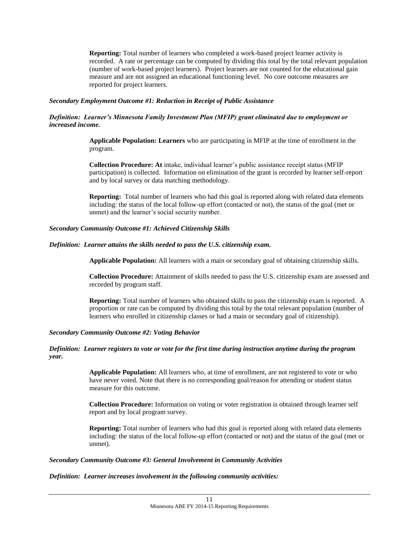**Reporting:** Total number of learners who completed a work-based project learner activity is recorded. A rate or percentage can be computed by dividing this total by the total relevant population (number of work-based project learners). Project learners are not counted for the educational gain measure and are not assigned an educational functioning level. No core outcome measures are reported for project learners.

#### *Secondary Employment Outcome #1: Reduction in Receipt of Public Assistance*

#### *Definition: Learner's Minnesota Family Investment Plan (MFIP) grant eliminated due to employment or increased income.*

**Applicable Population: Learners** who are participating in MFIP at the time of enrollment in the program.

**Collection Procedure: At** intake, individual learner's public assistance receipt status (MFIP participation) is collected. Information on elimination of the grant is recorded by learner self-report and by local survey or data matching methodology.

**Reporting:** Total number of learners who had this goal is reported along with related data elements including: the status of the local follow-up effort (contacted or not), the status of the goal (met or unmet) and the learner's social security number.

#### *Secondary Community Outcome #1: Achieved Citizenship Skills*

#### *Definition: Learner attains the skills needed to pass the U.S. citizenship exam.*

**Applicable Population:** All learners with a main or secondary goal of obtaining citizenship skills.

**Collection Procedure:** Attainment of skills needed to pass the U.S. citizenship exam are assessed and recorded by program staff.

**Reporting:** Total number of learners who obtained skills to pass the citizenship exam is reported. A proportion or rate can be computed by dividing this total by the total relevant population (number of learners who enrolled in citizenship classes or had a main or secondary goal of citizenship).

#### *Secondary Community Outcome #2: Voting Behavior*

#### *Definition: Learner registers to vote or vote for the first time during instruction anytime during the program year.*

**Applicable Population:** All learners who, at time of enrollment, are not registered to vote or who have never voted. Note that there is no corresponding goal/reason for attending or student status measure for this outcome.

**Collection Procedure:** Information on voting or voter registration is obtained through learner self report and by local program survey.

**Reporting:** Total number of learners who had this goal is reported along with related data elements including: the status of the local follow-up effort (contacted or not) and the status of the goal (met or unmet).

#### *Secondary Community Outcome #3: General Involvement in Community Activities*

#### *Definition: Learner increases involvement in the following community activities:*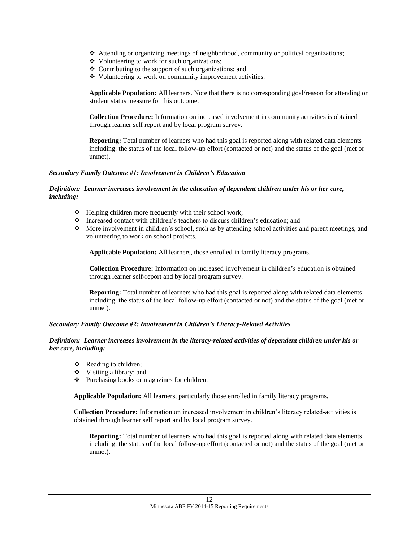- Attending or organizing meetings of neighborhood, community or political organizations;
- Volunteering to work for such organizations;
- $\triangle$  Contributing to the support of such organizations; and
- Volunteering to work on community improvement activities.

**Applicable Population:** All learners. Note that there is no corresponding goal/reason for attending or student status measure for this outcome.

**Collection Procedure:** Information on increased involvement in community activities is obtained through learner self report and by local program survey.

**Reporting:** Total number of learners who had this goal is reported along with related data elements including: the status of the local follow-up effort (contacted or not) and the status of the goal (met or unmet).

#### *Secondary Family Outcome #1: Involvement in Children's Education*

#### *Definition: Learner increases involvement in the education of dependent children under his or her care, including:*

- $\triangleleft$  Helping children more frequently with their school work;
- Increased contact with children's teachers to discuss children's education; and
- $\bullet$  More involvement in children's school, such as by attending school activities and parent meetings, and volunteering to work on school projects.

**Applicable Population:** All learners, those enrolled in family literacy programs.

**Collection Procedure:** Information on increased involvement in children's education is obtained through learner self-report and by local program survey.

**Reporting:** Total number of learners who had this goal is reported along with related data elements including: the status of the local follow-up effort (contacted or not) and the status of the goal (met or unmet).

#### *Secondary Family Outcome #2: Involvement in Children's Literacy-Related Activities*

#### *Definition: Learner increases involvement in the literacy-related activities of dependent children under his or her care, including:*

- Reading to children;
- $\div$  Visiting a library; and
- Purchasing books or magazines for children.

**Applicable Population:** All learners, particularly those enrolled in family literacy programs.

**Collection Procedure:** Information on increased involvement in children's literacy related-activities is obtained through learner self report and by local program survey.

**Reporting:** Total number of learners who had this goal is reported along with related data elements including: the status of the local follow-up effort (contacted or not) and the status of the goal (met or unmet).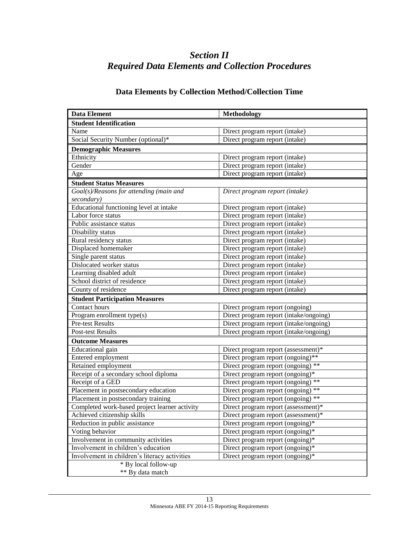# *Section II Required Data Elements and Collection Procedures*

# **Data Elements by Collection Method/Collection Time**

| <b>Data Element</b>                            | <b>Methodology</b>                     |
|------------------------------------------------|----------------------------------------|
| <b>Student Identification</b>                  |                                        |
| Name                                           | Direct program report (intake)         |
| Social Security Number (optional)*             | Direct program report (intake)         |
| <b>Demographic Measures</b>                    |                                        |
| Ethnicity                                      | Direct program report (intake)         |
| Gender                                         | Direct program report (intake)         |
| Age                                            | Direct program report (intake)         |
| <b>Student Status Measures</b>                 |                                        |
| Goal(s)/Reasons for attending (main and        | Direct program report (intake)         |
| secondary)                                     |                                        |
| Educational functioning level at intake        | Direct program report (intake)         |
| Labor force status                             | Direct program report (intake)         |
| Public assistance status                       | Direct program report (intake)         |
| Disability status                              | Direct program report (intake)         |
| Rural residency status                         | Direct program report (intake)         |
| Displaced homemaker                            | Direct program report (intake)         |
| Single parent status                           | Direct program report (intake)         |
| Dislocated worker status                       | Direct program report (intake)         |
| Learning disabled adult                        | Direct program report (intake)         |
| School district of residence                   | Direct program report (intake)         |
| County of residence                            | Direct program report (intake)         |
| <b>Student Participation Measures</b>          |                                        |
| Contact hours                                  | Direct program report (ongoing)        |
| $\overline{\text{Program}}$ enrollment type(s) | Direct program report (intake/ongoing) |
| Pre-test Results                               | Direct program report (intake/ongoing) |
| <b>Post-test Results</b>                       | Direct program report (intake/ongoing) |
| <b>Outcome Measures</b>                        |                                        |
| Educational gain                               | Direct program report (assessment)*    |
| Entered employment                             | Direct program report (ongoing)**      |
| Retained employment                            | Direct program report (ongoing) **     |
| Receipt of a secondary school diploma          | Direct program report (ongoing)*       |
| Receipt of a GED                               | Direct program report (ongoing) **     |
| Placement in postsecondary education           | Direct program report (ongoing) **     |
| Placement in postsecondary training            | Direct program report (ongoing) **     |
| Completed work-based project learner activity  | Direct program report (assessment)*    |
| Achieved citizenship skills                    | Direct program report (assessment)*    |
| Reduction in public assistance                 | Direct program report (ongoing)*       |
| Voting behavior                                | Direct program report (ongoing)*       |
| Involvement in community activities            | Direct program report (ongoing)*       |
| Involvement in children's education            | Direct program report (ongoing)*       |
| Involvement in children's literacy activities  | Direct program report (ongoing)*       |
| * By local follow-up                           |                                        |
| ** By data match                               |                                        |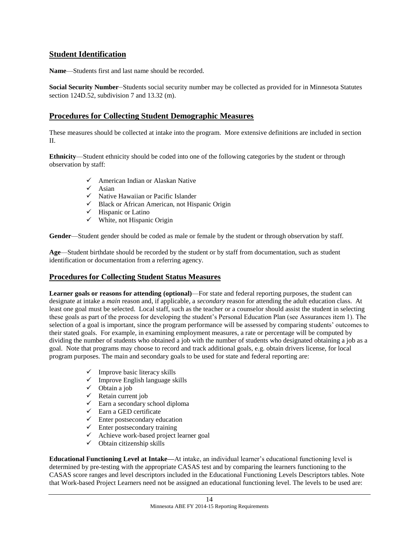## **Student Identification**

**Name**—Students first and last name should be recorded.

**Social Security Number**—Students social security number may be collected as provided for in Minnesota Statutes section 124D.52, subdivision 7 and 13.32 (m).

## **Procedures for Collecting Student Demographic Measures**

These measures should be collected at intake into the program. More extensive definitions are included in section II.

**Ethnicity**—Student ethnicity should be coded into one of the following categories by the student or through observation by staff:

- American Indian or Alaskan Native
- $\checkmark$  Asian
- $\checkmark$  Native Hawaiian or Pacific Islander
- $\checkmark$  Black or African American, not Hispanic Origin
- $\checkmark$  Hispanic or Latino
- $\checkmark$  White, not Hispanic Origin

**Gender**—Student gender should be coded as male or female by the student or through observation by staff.

**Age**—Student birthdate should be recorded by the student or by staff from documentation, such as student identification or documentation from a referring agency.

### **Procedures for Collecting Student Status Measures**

**Learner goals or reasons for attending (optional)**—For state and federal reporting purposes, the student can designate at intake a *main* reason and, if applicable, a *secondary* reason for attending the adult education class. At least one goal must be selected. Local staff, such as the teacher or a counselor should assist the student in selecting these goals as part of the process for developing the student's Personal Education Plan (see Assurances item 1). The selection of a goal is important, since the program performance will be assessed by comparing students' outcomes to their stated goals. For example, in examining employment measures, a rate or percentage will be computed by dividing the number of students who obtained a job with the number of students who designated obtaining a job as a goal. Note that programs may choose to record and track additional goals, e.g. obtain drivers license, for local program purposes. The main and secondary goals to be used for state and federal reporting are:

- $\checkmark$  Improve basic literacy skills
- $\checkmark$  Improve English language skills
- $\checkmark$  Obtain a job
- $\checkmark$  Retain current job
- $\checkmark$  Earn a secondary school diploma
- $\checkmark$  Earn a GED certificate
- $\checkmark$  Enter postsecondary education
- $\checkmark$  Enter postsecondary training
- $\checkmark$  Achieve work-based project learner goal
- $\checkmark$  Obtain citizenship skills

**Educational Functioning Level at Intake—**At intake, an individual learner's educational functioning level is determined by pre-testing with the appropriate CASAS test and by comparing the learners functioning to the CASAS score ranges and level descriptors included in the Educational Functioning Levels Descriptors tables. Note that Work-based Project Learners need not be assigned an educational functioning level. The levels to be used are: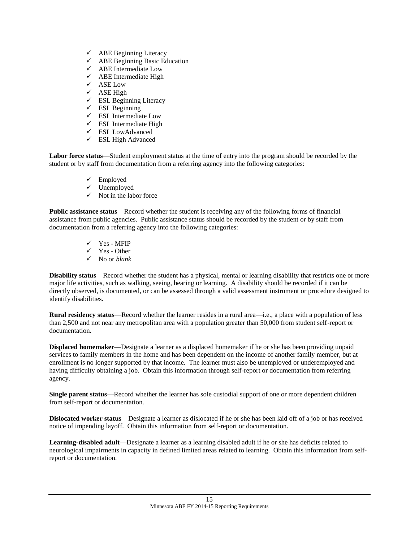- $\checkmark$  ABE Beginning Literacy
- $\checkmark$  ABE Beginning Basic Education
- $\checkmark$  ABE Intermediate Low
- $\checkmark$  ABE Intermediate High
- $\checkmark$  ASE Low
- $\checkmark$  ASE High
- $\checkmark$  ESL Beginning Literacy
- $\checkmark$  ESL Beginning
- $\checkmark$  ESL Intermediate Low
- $\checkmark$  ESL Intermediate High
- ESL LowAdvanced
- $\checkmark$  ESL High Advanced

**Labor force status**—Student employment status at the time of entry into the program should be recorded by the student or by staff from documentation from a referring agency into the following categories:

- $\checkmark$  Employed
- $\checkmark$  Unemployed
- $\checkmark$  Not in the labor force

**Public assistance status**—Record whether the student is receiving any of the following forms of financial assistance from public agencies. Public assistance status should be recorded by the student or by staff from documentation from a referring agency into the following categories:

- $\checkmark$  Yes MFIP
- $\checkmark$  Yes Other
- No or *blank*

**Disability status**—Record whether the student has a physical, mental or learning disability that restricts one or more major life activities, such as walking, seeing, hearing or learning. A disability should be recorded if it can be directly observed, is documented, or can be assessed through a valid assessment instrument or procedure designed to identify disabilities.

**Rural residency status**—Record whether the learner resides in a rural area—i.e., a place with a population of less than 2,500 and not near any metropolitan area with a population greater than 50,000 from student self-report or documentation.

**Displaced homemaker**—Designate a learner as a displaced homemaker if he or she has been providing unpaid services to family members in the home and has been dependent on the income of another family member, but at enrollment is no longer supported by that income. The learner must also be unemployed or underemployed and having difficulty obtaining a job. Obtain this information through self-report or documentation from referring agency.

**Single parent status**—Record whether the learner has sole custodial support of one or more dependent children from self-report or documentation.

**Dislocated worker status**—Designate a learner as dislocated if he or she has been laid off of a job or has received notice of impending layoff. Obtain this information from self-report or documentation.

**Learning-disabled adult**—Designate a learner as a learning disabled adult if he or she has deficits related to neurological impairments in capacity in defined limited areas related to learning. Obtain this information from selfreport or documentation.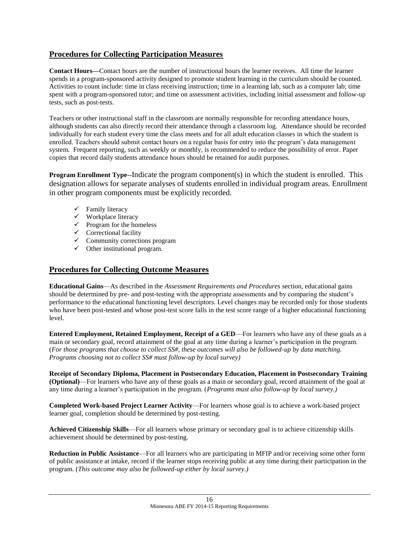# **Procedures for Collecting Participation Measures**

**Contact Hours—**Contact hours are the number of instructional hours the learner receives. All time the learner spends in a program-sponsored activity designed to promote student learning in the curriculum should be counted. Activities to count include: time in class receiving instruction; time in a learning lab, such as a computer lab; time spent with a program-sponsored tutor; and time on assessment activities, including initial assessment and follow-up tests, such as post-tests.

Teachers or other instructional staff in the classroom are normally responsible for recording attendance hours, although students can also directly record their attendance through a classroom log. Attendance should be recorded individually for each student every time the class meets and for all adult education classes in which the student is enrolled. Teachers should submit contact hours on a regular basis for entry into the program's data management system. Frequent reporting, such as weekly or monthly, is recommended to reduce the possibility of error. Paper copies that record daily students attendance hours should be retained for audit purposes.

**Program Enrollment Type--**Indicate the program component(s) in which the student is enrolled. This designation allows for separate analyses of students enrolled in individual program areas. Enrollment in other program components must be explicitly recorded.

- $\checkmark$  Family literacy
- $\checkmark$  Workplace literacy
- $\checkmark$  Program for the homeless
- $\checkmark$  Correctional facility
- $\checkmark$  Community corrections program
- $\checkmark$  Other institutional program.

## **Procedures for Collecting Outcome Measures**

**Educational Gains**—As described in the *Assessment Requirements and Procedures* section, educational gains should be determined by pre- and post-testing with the appropriate assessments and by comparing the student's performance to the educational functioning level descriptors. Level changes may be recorded only for those students who have been post-tested and whose post-test score falls in the test score range of a higher educational functioning level.

**Entered Employment, Retained Employment, Receipt of a GED**—For learners who have any of these goals as a main or secondary goal, record attainment of the goal at any time during a learner's participation in the program. (*For those programs that choose to collect SS#, these outcomes will also be followed-up by data matching. Programs choosing not to collect SS# must follow-up by local survey)*

**Receipt of Secondary Diploma, Placement in Postsecondary Education, Placement in Postsecondary Training (Optional)**—For learners who have any of these goals as a main or secondary goal, record attainment of the goal at any time during a learner's participation in the program. (*Programs must also follow-up by local survey.)*

**Completed Work-based Project Learner Activity**—For learners whose goal is to achieve a work-based project learner goal, completion should be determined by post-testing.

**Achieved Citizenship Skills**—For all learners whose primary or secondary goal is to achieve citizenship skills achievement should be determined by post-testing.

**Reduction in Public Assistance**—For all learners who are participating in MFIP and/or receiving some other form of public assistance at intake, record if the learner stops receiving public at any time during their participation in the program. (*This outcome may also be followed-up either by local survey.)*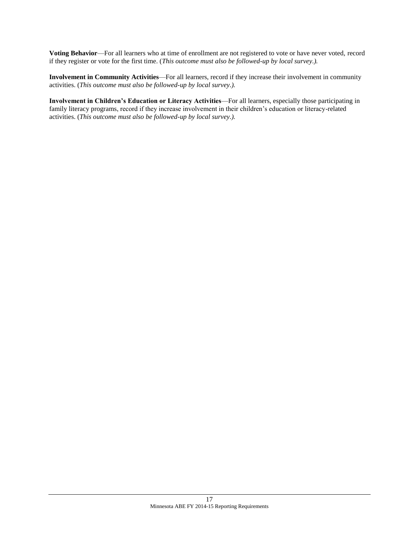**Voting Behavior**—For all learners who at time of enrollment are not registered to vote or have never voted, record if they register or vote for the first time. (*This outcome must also be followed-up by local survey.).*

**Involvement in Community Activities**—For all learners, record if they increase their involvement in community activities. (*This outcome must also be followed-up by local survey.).*

**Involvement in Children's Education or Literacy Activities**—For all learners, especially those participating in family literacy programs, record if they increase involvement in their children's education or literacy-related activities. (*This outcome must also be followed-up by local survey.).*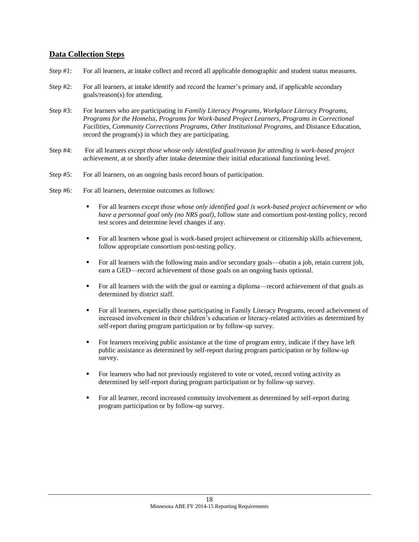## **Data Collection Steps**

- Step #1: For all learners, at intake collect and record all applicable demographic and student status measures.
- Step #2: For all learners, at intake identify and record the learner's primary and, if applicable secondary goals/reason(s) for attending.
- Step #3: For learners who are participating in *Familiy Literacy Programs, Workplace Literacy Programs, Programs for the Homelss, Programs for Work-based Project Learners, Programs in Correctional Facilities, Community Corrections Programs, Other Institutional Programs*, and Distance Education, record the program(s) in which they are participating.
- Step #4: For all learners *except those whose only identified goal/reason for attending is work-based project achievement*, at or shortly after intake determine their initial educational functioning level.
- Step #5: For all learners, on an ongoing basis record hours of participation.
- Step #6: For all learners, determine outcomes as follows:
	- For all learners *except those whose only identified goal is work-based project achievement or who have a personnal goal only (no NRS goal)*, follow state and consortium post-testing policy, record test scores and determine level changes if any.
	- For all learners whose goal is work-based project achievement or citizenship skills achievement, follow appropriate consortium post-testing policy.
	- For all learners with the following main and/or secondary goals—obatin a job, retain current job, earn a GED—record achievement of those goals on an ongoing basis optional.
	- For all learners with the with the goal or earning a diploma—record achievement of that goals as determined by district staff.
	- For all learners, especially those participating in Family Literacy Programs, record acheivement of increased involvement in their children's education or literacy-related activities as determined by self-report during program participation or by follow-up survey.
	- For learners receiving public assistance at the time of program entry, indicate if they have left public assistance as determined by self-report during program participation or by follow-up survey.
	- For learners who had not previously registered to vote or voted, record voting activity as determined by self-report during program participation or by follow-up survey.
	- For all learner, record increased commuity involvement as determined by self-report during program participation or by follow-up survey.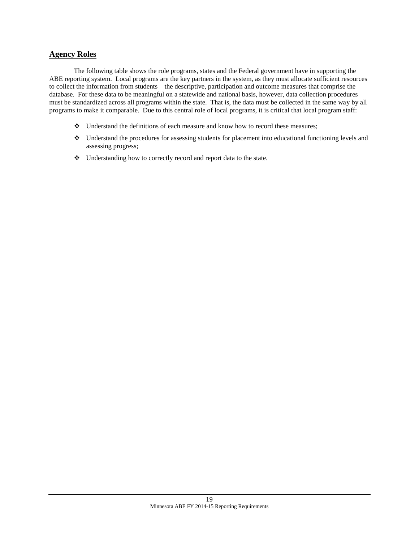### **Agency Roles**

The following table shows the role programs, states and the Federal government have in supporting the ABE reporting system. Local programs are the key partners in the system, as they must allocate sufficient resources to collect the information from students—the descriptive, participation and outcome measures that comprise the database. For these data to be meaningful on a statewide and national basis, however, data collection procedures must be standardized across all programs within the state. That is, the data must be collected in the same way by all programs to make it comparable. Due to this central role of local programs, it is critical that local program staff:

- Understand the definitions of each measure and know how to record these measures;
- Understand the procedures for assessing students for placement into educational functioning levels and assessing progress;
- \* Understanding how to correctly record and report data to the state.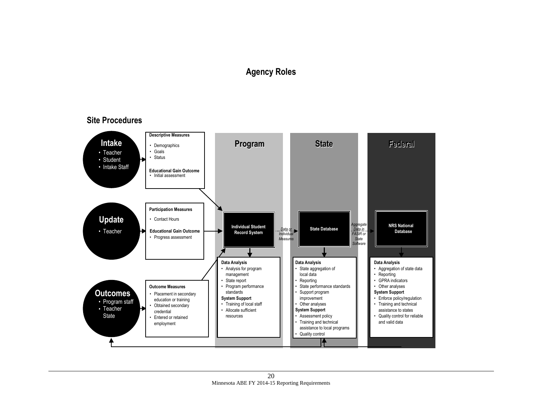# **Agency Roles**

## **Site Procedures**

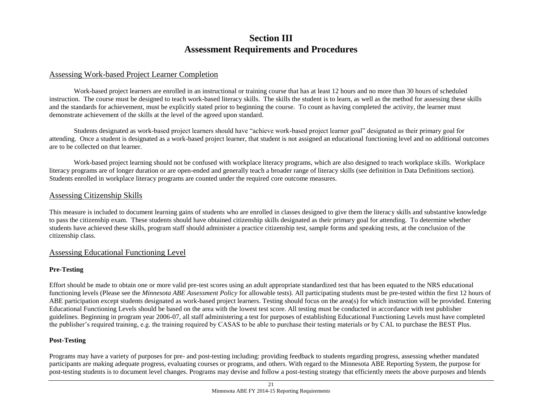# **Section III Assessment Requirements and Procedures**

## Assessing Work-based Project Learner Completion

Work-based project learners are enrolled in an instructional or training course that has at least 12 hours and no more than 30 hours of scheduled instruction. The course must be designed to teach work-based literacy skills. The skills the student is to learn, as well as the method for assessing these skills and the standards for achievement, must be explicitly stated prior to beginning the course. To count as having completed the activity, the learner must demonstrate achievement of the skills at the level of the agreed upon standard.

Students designated as work-based project learners should have "achieve work-based project learner goal" designated as their primary goal for attending. Once a student is designated as a work-based project learner, that student is not assigned an educational functioning level and no additional outcomes are to be collected on that learner.

Work-based project learning should not be confused with workplace literacy programs, which are also designed to teach workplace skills. Workplace literacy programs are of longer duration or are open-ended and generally teach a broader range of literacy skills (see definition in Data Definitions section). Students enrolled in workplace literacy programs are counted under the required core outcome measures.

### Assessing Citizenship Skills

This measure is included to document learning gains of students who are enrolled in classes designed to give them the literacy skills and substantive knowledge to pass the citizenship exam. These students should have obtained citizenship skills designated as their primary goal for attending. To determine whether students have achieved these skills, program staff should administer a practice citizenship test, sample forms and speaking tests, at the conclusion of the citizenship class.

### Assessing Educational Functioning Level

#### **Pre-Testing**

Effort should be made to obtain one or more valid pre-test scores using an adult appropriate standardized test that has been equated to the NRS educational functioning levels (Please see the *Minnesota ABE Assessment Policy* for allowable tests). All participating students must be pre-tested within the first 12 hours of ABE participation except students designated as work-based project learners. Testing should focus on the area(s) for which instruction will be provided. Entering Educational Functioning Levels should be based on the area with the lowest test score. All testing must be conducted in accordance with test publisher guidelines. Beginning in program year 2006-07, all staff administering a test for purposes of establishing Educational Functioning Levels must have completed the publisher's required training, e.g. the training required by CASAS to be able to purchase their testing materials or by CAL to purchase the BEST Plus.

#### **Post-Testing**

Programs may have a variety of purposes for pre- and post-testing including: providing feedback to students regarding progress, assessing whether mandated participants are making adequate progress, evaluating courses or programs, and others. With regard to the Minnesota ABE Reporting System, the purpose for post-testing students is to document level changes. Programs may devise and follow a post-testing strategy that efficiently meets the above purposes and blends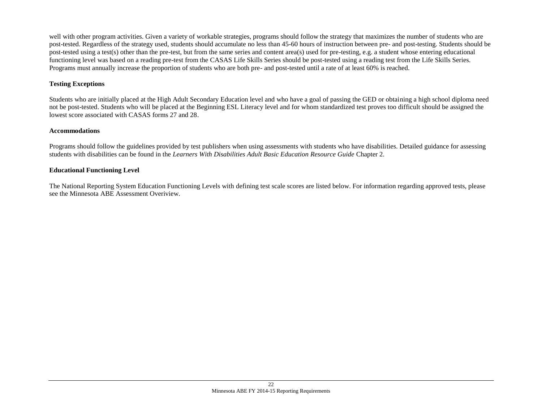well with other program activities. Given a variety of workable strategies, programs should follow the strategy that maximizes the number of students who are post-tested. Regardless of the strategy used, students should accumulate no less than 45-60 hours of instruction between pre- and post-testing. Students should be post-tested using a test(s) other than the pre-test, but from the same series and content area(s) used for pre-testing, e.g. a student whose entering educational functioning level was based on a reading pre-test from the CASAS Life Skills Series should be post-tested using a reading test from the Life Skills Series. Programs must annually increase the proportion of students who are both pre- and post-tested until a rate of at least 60% is reached.

## **Testing Exceptions**

Students who are initially placed at the High Adult Secondary Education level and who have a goal of passing the GED or obtaining a high school diploma need not be post-tested. Students who will be placed at the Beginning ESL Literacy level and for whom standardized test proves too difficult should be assigned the lowest score associated with CASAS forms 27 and 28.

### **Accommodations**

Programs should follow the guidelines provided by test publishers when using assessments with students who have disabilities. Detailed guidance for assessing students with disabilities can be found in the *Learners With Disabilities Adult Basic Education Resource Guide* Chapter 2.

### **Educational Functioning Level**

The National Reporting System Education Functioning Levels with defining test scale scores are listed below. For information regarding approved tests, please see the Minnesota ABE Assessment Overiview.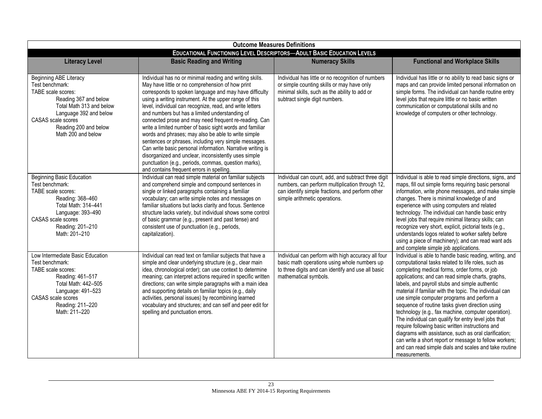| <b>Outcome Measures Definitions</b>                                                                                                                                                                                 |                                                                                                                                                                                                                                                                                                                                                                                                                                                                                                                                                                                                                                                                                                                                                                                                                |                                                                                                                                                                                             |                                                                                                                                                                                                                                                                                                                                                                                                                                                                                                                                                                                                                                                                                                                                                                                                    |
|---------------------------------------------------------------------------------------------------------------------------------------------------------------------------------------------------------------------|----------------------------------------------------------------------------------------------------------------------------------------------------------------------------------------------------------------------------------------------------------------------------------------------------------------------------------------------------------------------------------------------------------------------------------------------------------------------------------------------------------------------------------------------------------------------------------------------------------------------------------------------------------------------------------------------------------------------------------------------------------------------------------------------------------------|---------------------------------------------------------------------------------------------------------------------------------------------------------------------------------------------|----------------------------------------------------------------------------------------------------------------------------------------------------------------------------------------------------------------------------------------------------------------------------------------------------------------------------------------------------------------------------------------------------------------------------------------------------------------------------------------------------------------------------------------------------------------------------------------------------------------------------------------------------------------------------------------------------------------------------------------------------------------------------------------------------|
| <b>EDUCATIONAL FUNCTIONING LEVEL DESCRIPTORS-ADULT BASIC EDUCATION LEVELS</b>                                                                                                                                       |                                                                                                                                                                                                                                                                                                                                                                                                                                                                                                                                                                                                                                                                                                                                                                                                                |                                                                                                                                                                                             |                                                                                                                                                                                                                                                                                                                                                                                                                                                                                                                                                                                                                                                                                                                                                                                                    |
| <b>Literacy Level</b>                                                                                                                                                                                               | <b>Basic Reading and Writing</b>                                                                                                                                                                                                                                                                                                                                                                                                                                                                                                                                                                                                                                                                                                                                                                               | <b>Numeracy Skills</b>                                                                                                                                                                      | <b>Functional and Workplace Skills</b>                                                                                                                                                                                                                                                                                                                                                                                                                                                                                                                                                                                                                                                                                                                                                             |
| Beginning ABE Literacy<br>Test benchmark:<br>TABE scale scores:<br>Reading 367 and below<br>Total Math 313 and below<br>Language 392 and below<br>CASAS scale scores<br>Reading 200 and below<br>Math 200 and below | Individual has no or minimal reading and writing skills.<br>May have little or no comprehension of how print<br>corresponds to spoken language and may have difficulty<br>using a writing instrument. At the upper range of this<br>level, individual can recognize, read, and write letters<br>and numbers but has a limited understanding of<br>connected prose and may need frequent re-reading. Can<br>write a limited number of basic sight words and familiar<br>words and phrases; may also be able to write simple<br>sentences or phrases, including very simple messages.<br>Can write basic personal information. Narrative writing is<br>disorganized and unclear, inconsistently uses simple<br>punctuation (e.g., periods, commas, question marks),<br>and contains frequent errors in spelling. | Individual has little or no recognition of numbers<br>or simple counting skills or may have only<br>minimal skills, such as the ability to add or<br>subtract single digit numbers.         | Individual has little or no ability to read basic signs or<br>maps and can provide limited personal information on<br>simple forms. The individual can handle routine entry<br>level jobs that require little or no basic written<br>communication or computational skills and no<br>knowledge of computers or other technology.                                                                                                                                                                                                                                                                                                                                                                                                                                                                   |
| Beginning Basic Education<br>Test benchmark:<br>TABE scale scores:<br>Reading: 368-460<br>Total Math: 314-441<br>Language: 393-490<br>CASAS scale scores<br>Reading: 201-210<br>Math: 201-210                       | Individual can read simple material on familiar subjects<br>and comprehend simple and compound sentences in<br>single or linked paragraphs containing a familiar<br>vocabulary; can write simple notes and messages on<br>familiar situations but lacks clarity and focus. Sentence<br>structure lacks variety, but individual shows some control<br>of basic grammar (e.g., present and past tense) and<br>consistent use of punctuation (e.g., periods,<br>capitalization).                                                                                                                                                                                                                                                                                                                                  | Individual can count, add, and subtract three digit<br>numbers, can perform multiplication through 12,<br>can identify simple fractions, and perform other<br>simple arithmetic operations. | Individual is able to read simple directions, signs, and<br>maps, fill out simple forms requiring basic personal<br>information, write phone messages, and make simple<br>changes. There is minimal knowledge of and<br>experience with using computers and related<br>technology. The individual can handle basic entry<br>level jobs that require minimal literacy skills; can<br>recognize very short, explicit, pictorial texts (e.g.,<br>understands logos related to worker safety before<br>using a piece of machinery); and can read want ads<br>and complete simple job applications.                                                                                                                                                                                                     |
| Low Intermediate Basic Education<br>Test benchmark:<br>TABE scale scores:<br>Reading: 461-517<br>Total Math: 442-505<br>Language: 491-523<br>CASAS scale scores<br>Reading: 211-220<br>Math: 211-220                | Individual can read text on familiar subjects that have a<br>simple and clear underlying structure (e.g., clear main<br>idea, chronological order); can use context to determine<br>meaning; can interpret actions required in specific written<br>directions; can write simple paragraphs with a main idea<br>and supporting details on familiar topics (e.g., daily<br>activities, personal issues) by recombining learned<br>vocabulary and structures; and can self and peer edit for<br>spelling and punctuation errors.                                                                                                                                                                                                                                                                                  | Individual can perform with high accuracy all four<br>basic math operations using whole numbers up<br>to three digits and can identify and use all basic<br>mathematical symbols.           | Individual is able to handle basic reading, writing, and<br>computational tasks related to life roles, such as<br>completing medical forms, order forms, or job<br>applications; and can read simple charts, graphs,<br>labels, and payroll stubs and simple authentic<br>material if familiar with the topic. The individual can<br>use simple computer programs and perform a<br>sequence of routine tasks given direction using<br>technology (e.g., fax machine, computer operation).<br>The individual can qualify for entry level jobs that<br>require following basic written instructions and<br>diagrams with assistance, such as oral clarification;<br>can write a short report or message to fellow workers;<br>and can read simple dials and scales and take routine<br>measurements. |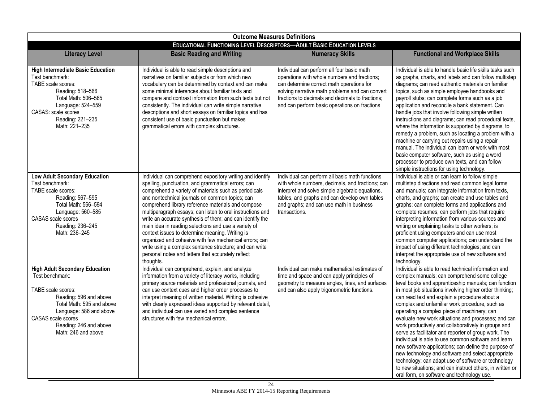| <b>Outcome Measures Definitions</b>                                                                                                                                                                                                            |                                                                                                                                                                                                                                                                                                                                                                                                                                                                                                                                                                                                                                                                                                                 |                                                                                                                                                                                                                                                                                                 |                                                                                                                                                                                                                                                                                                                                                                                                                                                                                                                                                                                                                                                                                                                                                                                                                                                                                        |
|------------------------------------------------------------------------------------------------------------------------------------------------------------------------------------------------------------------------------------------------|-----------------------------------------------------------------------------------------------------------------------------------------------------------------------------------------------------------------------------------------------------------------------------------------------------------------------------------------------------------------------------------------------------------------------------------------------------------------------------------------------------------------------------------------------------------------------------------------------------------------------------------------------------------------------------------------------------------------|-------------------------------------------------------------------------------------------------------------------------------------------------------------------------------------------------------------------------------------------------------------------------------------------------|----------------------------------------------------------------------------------------------------------------------------------------------------------------------------------------------------------------------------------------------------------------------------------------------------------------------------------------------------------------------------------------------------------------------------------------------------------------------------------------------------------------------------------------------------------------------------------------------------------------------------------------------------------------------------------------------------------------------------------------------------------------------------------------------------------------------------------------------------------------------------------------|
| <b>EDUCATIONAL FUNCTIONING LEVEL DESCRIPTORS-ADULT BASIC EDUCATION LEVELS</b>                                                                                                                                                                  |                                                                                                                                                                                                                                                                                                                                                                                                                                                                                                                                                                                                                                                                                                                 |                                                                                                                                                                                                                                                                                                 |                                                                                                                                                                                                                                                                                                                                                                                                                                                                                                                                                                                                                                                                                                                                                                                                                                                                                        |
| <b>Literacy Level</b>                                                                                                                                                                                                                          | <b>Basic Reading and Writing</b>                                                                                                                                                                                                                                                                                                                                                                                                                                                                                                                                                                                                                                                                                | <b>Numeracy Skills</b>                                                                                                                                                                                                                                                                          | <b>Functional and Workplace Skills</b>                                                                                                                                                                                                                                                                                                                                                                                                                                                                                                                                                                                                                                                                                                                                                                                                                                                 |
| <b>High Intermediate Basic Education</b><br>Test benchmark:<br>TABE scale scores:<br>Reading: 518-566<br>Total Math: 506-565<br>Language: 524-559<br>CASAS: scale scores<br>Reading: 221-235<br>Math: 221-235                                  | Individual is able to read simple descriptions and<br>narratives on familiar subjects or from which new<br>vocabulary can be determined by context and can make<br>some minimal inferences about familiar texts and<br>compare and contrast information from such texts but not<br>consistently. The individual can write simple narrative<br>descriptions and short essays on familiar topics and has<br>consistent use of basic punctuation but makes<br>grammatical errors with complex structures.                                                                                                                                                                                                          | Individual can perform all four basic math<br>operations with whole numbers and fractions;<br>can determine correct math operations for<br>solving narrative math problems and can convert<br>fractions to decimals and decimals to fractions;<br>and can perform basic operations on fractions | Individual is able to handle basic life skills tasks such<br>as graphs, charts, and labels and can follow multistep<br>diagrams; can read authentic materials on familiar<br>topics, such as simple employee handbooks and<br>payroll stubs; can complete forms such as a job<br>application and reconcile a bank statement. Can<br>handle jobs that involve following simple written<br>instructions and diagrams; can read procedural texts,<br>where the information is supported by diagrams, to<br>remedy a problem, such as locating a problem with a<br>machine or carrying out repairs using a repair<br>manual. The individual can learn or work with most<br>basic computer software, such as using a word<br>processor to produce own texts, and can follow<br>simple instructions for using technology.                                                                    |
| <b>Low Adult Secondary Education</b><br>Test benchmark:<br>TABE scale scores:<br>Reading: 567-595<br>Total Math: 566-594<br>Language: 560-585<br>CASAS scale scores<br>Reading: 236-245<br>Math: 236-245                                       | Individual can comprehend expository writing and identify<br>spelling, punctuation, and grammatical errors; can<br>comprehend a variety of materials such as periodicals<br>and nontechnical journals on common topics; can<br>comprehend library reference materials and compose<br>multiparagraph essays; can listen to oral instructions and<br>write an accurate synthesis of them; and can identify the<br>main idea in reading selections and use a variety of<br>context issues to determine meaning. Writing is<br>organized and cohesive with few mechanical errors; can<br>write using a complex sentence structure; and can write<br>personal notes and letters that accurately reflect<br>thoughts. | Individual can perform all basic math functions<br>with whole numbers, decimals, and fractions; can<br>interpret and solve simple algebraic equations,<br>tables, and graphs and can develop own tables<br>and graphs; and can use math in business<br>transactions.                            | Individual is able or can learn to follow simple<br>multistep directions and read common legal forms<br>and manuals; can integrate information from texts,<br>charts, and graphs; can create and use tables and<br>graphs; can complete forms and applications and<br>complete resumes; can perform jobs that require<br>interpreting information from various sources and<br>writing or explaining tasks to other workers; is<br>proficient using computers and can use most<br>common computer applications; can understand the<br>impact of using different technologies; and can<br>interpret the appropriate use of new software and<br>technology.                                                                                                                                                                                                                               |
| <b>High Adult Secondary Education</b><br>Test benchmark:<br>TABE scale scores:<br>Reading: 596 and above<br>Total Math: 595 and above<br>Language: 586 and above<br><b>CASAS</b> scale scores<br>Reading: 246 and above<br>Math: 246 and above | Individual can comprehend, explain, and analyze<br>information from a variety of literacy works, including<br>primary source materials and professional journals, and<br>can use context cues and higher order processes to<br>interpret meaning of written material. Writing is cohesive<br>with clearly expressed ideas supported by relevant detail,<br>and individual can use varied and complex sentence<br>structures with few mechanical errors.                                                                                                                                                                                                                                                         | Individual can make mathematical estimates of<br>time and space and can apply principles of<br>geometry to measure angles, lines, and surfaces<br>and can also apply trigonometric functions.                                                                                                   | Individual is able to read technical information and<br>complex manuals; can comprehend some college<br>level books and apprenticeship manuals; can function<br>in most job situations involving higher order thinking;<br>can read text and explain a procedure about a<br>complex and unfamiliar work procedure, such as<br>operating a complex piece of machinery; can<br>evaluate new work situations and processes; and can<br>work productively and collaboratively in groups and<br>serve as facilitator and reporter of group work. The<br>individual is able to use common software and learn<br>new software applications; can define the purpose of<br>new technology and software and select appropriate<br>technology; can adapt use of software or technology<br>to new situations; and can instruct others, in written or<br>oral form, on software and technology use. |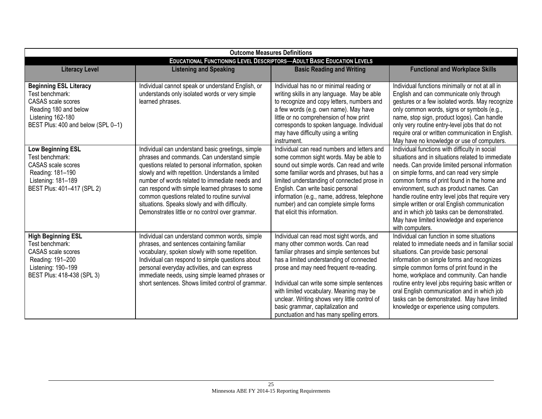| <b>Outcome Measures Definitions</b>                                                                                                                               |                                                                                                                                                                                                                                                                                                                                                                                                                                                                      |                                                                                                                                                                                                                                                                                                                                                                                                                                                |                                                                                                                                                                                                                                                                                                                                                                                                                                                                                                                   |
|-------------------------------------------------------------------------------------------------------------------------------------------------------------------|----------------------------------------------------------------------------------------------------------------------------------------------------------------------------------------------------------------------------------------------------------------------------------------------------------------------------------------------------------------------------------------------------------------------------------------------------------------------|------------------------------------------------------------------------------------------------------------------------------------------------------------------------------------------------------------------------------------------------------------------------------------------------------------------------------------------------------------------------------------------------------------------------------------------------|-------------------------------------------------------------------------------------------------------------------------------------------------------------------------------------------------------------------------------------------------------------------------------------------------------------------------------------------------------------------------------------------------------------------------------------------------------------------------------------------------------------------|
| <b>EDUCATIONAL FUNCTIONING LEVEL DESCRIPTORS-ADULT BASIC EDUCATION LEVELS</b>                                                                                     |                                                                                                                                                                                                                                                                                                                                                                                                                                                                      |                                                                                                                                                                                                                                                                                                                                                                                                                                                |                                                                                                                                                                                                                                                                                                                                                                                                                                                                                                                   |
| <b>Literacy Level</b>                                                                                                                                             | <b>Listening and Speaking</b>                                                                                                                                                                                                                                                                                                                                                                                                                                        | <b>Basic Reading and Writing</b>                                                                                                                                                                                                                                                                                                                                                                                                               | <b>Functional and Workplace Skills</b>                                                                                                                                                                                                                                                                                                                                                                                                                                                                            |
| <b>Beginning ESL Literacy</b><br>Test benchmark:<br><b>CASAS</b> scale scores<br>Reading 180 and below<br>Listening 162-180<br>BEST Plus: 400 and below (SPL 0-1) | Individual cannot speak or understand English, or<br>understands only isolated words or very simple<br>learned phrases.                                                                                                                                                                                                                                                                                                                                              | Individual has no or minimal reading or<br>writing skills in any language. May be able<br>to recognize and copy letters, numbers and<br>a few words (e.g. own name). May have<br>little or no comprehension of how print<br>corresponds to spoken language. Individual<br>may have difficulty using a writing<br>instrument.                                                                                                                   | Individual functions minimally or not at all in<br>English and can communicate only through<br>gestures or a few isolated words. May recognize<br>only common words, signs or symbols (e.g.,<br>name, stop sign, product logos). Can handle<br>only very routine entry-level jobs that do not<br>require oral or written communication in English.<br>May have no knowledge or use of computers.                                                                                                                  |
| <b>Low Beginning ESL</b><br>Test benchmark:<br><b>CASAS</b> scale scores<br>Reading: 181-190<br>Listening: 181-189<br>BEST Plus: 401-417 (SPL 2)                  | Individual can understand basic greetings, simple<br>phrases and commands. Can understand simple<br>questions related to personal information, spoken<br>slowly and with repetition. Understands a limited<br>number of words related to immediate needs and<br>can respond with simple learned phrases to some<br>common questions related to routine survival<br>situations. Speaks slowly and with difficulty.<br>Demonstrates little or no control over grammar. | Individual can read numbers and letters and<br>some common sight words. May be able to<br>sound out simple words. Can read and write<br>some familiar words and phrases, but has a<br>limited understanding of connected prose in<br>English. Can write basic personal<br>information (e.g., name, address, telephone<br>number) and can complete simple forms<br>that elicit this information.                                                | Individual functions with difficulty in social<br>situations and in situations related to immediate<br>needs. Can provide limited personal information<br>on simple forms, and can read very simple<br>common forms of print found in the home and<br>environment, such as product names. Can<br>handle routine entry level jobs that require very<br>simple written or oral English communication<br>and in which job tasks can be demonstrated.<br>May have limited knowledge and experience<br>with computers. |
| <b>High Beginning ESL</b><br>Test benchmark:<br><b>CASAS</b> scale scores<br>Reading: 191-200<br>Listening: 190-199<br>BEST Plus: 418-438 (SPL 3)                 | Individual can understand common words, simple<br>phrases, and sentences containing familiar<br>vocabulary, spoken slowly with some repetition.<br>Individual can respond to simple questions about<br>personal everyday activities, and can express<br>immediate needs, using simple learned phrases or<br>short sentences. Shows limited control of grammar.                                                                                                       | Individual can read most sight words, and<br>many other common words. Can read<br>familiar phrases and simple sentences but<br>has a limited understanding of connected<br>prose and may need frequent re-reading.<br>Individual can write some simple sentences<br>with limited vocabulary. Meaning may be<br>unclear. Writing shows very little control of<br>basic grammar, capitalization and<br>punctuation and has many spelling errors. | Individual can function in some situations<br>related to immediate needs and in familiar social<br>situations. Can provide basic personal<br>information on simple forms and recognizes<br>simple common forms of print found in the<br>home, workplace and community. Can handle<br>routine entry level jobs requiring basic written or<br>oral English communication and in which job<br>tasks can be demonstrated. May have limited<br>knowledge or experience using computers.                                |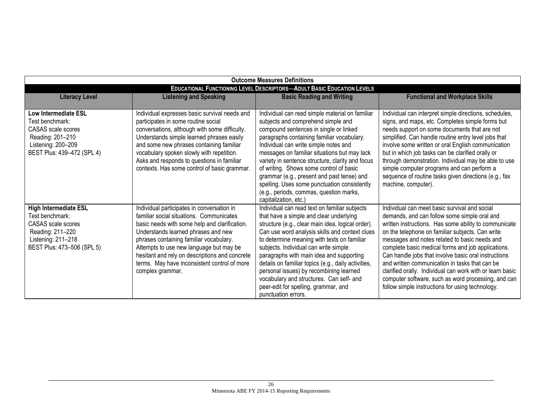| <b>Outcome Measures Definitions</b>                                                                                                                  |                                                                                                                                                                                                                                                                                                                                                                                            |                                                                                                                                                                                                                                                                                                                                                                                                                                                                                                                                                  |                                                                                                                                                                                                                                                                                                                                                                                                                                                                                                                                                                                                     |
|------------------------------------------------------------------------------------------------------------------------------------------------------|--------------------------------------------------------------------------------------------------------------------------------------------------------------------------------------------------------------------------------------------------------------------------------------------------------------------------------------------------------------------------------------------|--------------------------------------------------------------------------------------------------------------------------------------------------------------------------------------------------------------------------------------------------------------------------------------------------------------------------------------------------------------------------------------------------------------------------------------------------------------------------------------------------------------------------------------------------|-----------------------------------------------------------------------------------------------------------------------------------------------------------------------------------------------------------------------------------------------------------------------------------------------------------------------------------------------------------------------------------------------------------------------------------------------------------------------------------------------------------------------------------------------------------------------------------------------------|
| <b>EDUCATIONAL FUNCTIONING LEVEL DESCRIPTORS-ADULT BASIC EDUCATION LEVELS</b>                                                                        |                                                                                                                                                                                                                                                                                                                                                                                            |                                                                                                                                                                                                                                                                                                                                                                                                                                                                                                                                                  |                                                                                                                                                                                                                                                                                                                                                                                                                                                                                                                                                                                                     |
| <b>Literacy Level</b>                                                                                                                                | <b>Listening and Speaking</b>                                                                                                                                                                                                                                                                                                                                                              | <b>Basic Reading and Writing</b>                                                                                                                                                                                                                                                                                                                                                                                                                                                                                                                 | <b>Functional and Workplace Skills</b>                                                                                                                                                                                                                                                                                                                                                                                                                                                                                                                                                              |
| <b>Low Intermediate ESL</b><br>Test benchmark:<br><b>CASAS</b> scale scores<br>Reading: 201-210<br>Listening: 200-209<br>BEST Plus: 439-472 (SPL 4)  | Individual expresses basic survival needs and<br>participates in some routine social<br>conversations, although with some difficulty.<br>Understands simple learned phrases easily<br>and some new phrases containing familiar<br>vocabulary spoken slowly with repetition.<br>Asks and responds to questions in familiar<br>contexts. Has some control of basic grammar.                  | Individual can read simple material on familiar<br>subjects and comprehend simple and<br>compound sentences in single or linked<br>paragraphs containing familiar vocabulary.<br>Individual can write simple notes and<br>messages on familiar situations but may lack<br>variety in sentence structure, clarity and focus<br>of writing. Shows some control of basic<br>grammar (e.g., present and past tense) and<br>spelling. Uses some punctuation consistently<br>(e.g., periods, commas, question marks,<br>capitalization, etc.)          | Individual can interpret simple directions, schedules,<br>signs, and maps, etc. Completes simple forms but<br>needs support on some documents that are not<br>simplified. Can handle routine entry level jobs that<br>involve some written or oral English communication<br>but in which job tasks can be clarified orally or<br>through demonstration. Individual may be able to use<br>simple computer programs and can perform a<br>sequence of routine tasks given directions (e.g., fax<br>machine, computer).                                                                                 |
| <b>High Intermediate ESL</b><br>Test benchmark:<br><b>CASAS</b> scale scores<br>Reading: 211-220<br>Listening: 211-218<br>BEST Plus: 473-506 (SPL 5) | Individual participates in conversation in<br>familiar social situations. Communicates<br>basic needs with some help and clarification.<br>Understands learned phrases and new<br>phrases containing familiar vocabulary.<br>Attempts to use new language but may be<br>hesitant and rely on descriptions and concrete<br>terms. May have inconsistent control of more<br>complex grammar. | Individual can read text on familiar subjects<br>that have a simple and clear underlying<br>structure (e.g., clear main idea, logical order).<br>Can use word analysis skills and context clues<br>to determine meaning with texts on familiar<br>subjects. Individual can write simple<br>paragraphs with main idea and supporting<br>details on familiar topics (e.g., daily activities,<br>personal issues) by recombining learned<br>vocabulary and structures. Can self- and<br>peer-edit for spelling, grammar, and<br>punctuation errors. | Individual can meet basic survival and social<br>demands, and can follow some simple oral and<br>written instructions. Has some ability to communicate<br>on the telephone on familiar subjects. Can write<br>messages and notes related to basic needs and<br>complete basic medical forms and job applications.<br>Can handle jobs that involve basic oral instructions<br>and written communication in tasks that can be<br>clarified orally. Individual can work with or learn basic<br>computer software, such as word processing, and can<br>follow simple instructions for using technology. |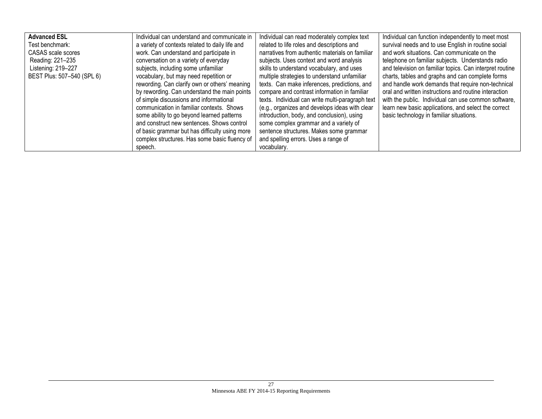| <b>Advanced ESL</b>        | Individual can understand and communicate in    | Individual can read moderately complex text      | Individual can function independently to meet most       |
|----------------------------|-------------------------------------------------|--------------------------------------------------|----------------------------------------------------------|
| Test benchmark:            | a variety of contexts related to daily life and | related to life roles and descriptions and       | survival needs and to use English in routine social      |
| CASAS scale scores         | work. Can understand and participate in         | narratives from authentic materials on familiar  | and work situations. Can communicate on the              |
| Reading: 221-235           | conversation on a variety of everyday           | subjects. Uses context and word analysis         | telephone on familiar subjects. Understands radio        |
| Listening: 219-227         | subjects, including some unfamiliar             | skills to understand vocabulary, and uses        | and television on familiar topics. Can interpret routine |
| BEST Plus: 507-540 (SPL 6) | vocabulary, but may need repetition or          | multiple strategies to understand unfamiliar     | charts, tables and graphs and can complete forms         |
|                            | rewording. Can clarify own or others' meaning   | texts. Can make inferences, predictions, and     | and handle work demands that require non-technical       |
|                            | by rewording. Can understand the main points    | compare and contrast information in familiar     | oral and written instructions and routine interaction    |
|                            | of simple discussions and informational         | texts. Individual can write multi-paragraph text | with the public. Individual can use common software,     |
|                            | communication in familiar contexts. Shows       | (e.g., organizes and develops ideas with clear   | learn new basic applications, and select the correct     |
|                            | some ability to go beyond learned patterns      | introduction, body, and conclusion), using       | basic technology in familiar situations.                 |
|                            | and construct new sentences. Shows control      | some complex grammar and a variety of            |                                                          |
|                            | of basic grammar but has difficulty using more  | sentence structures. Makes some grammar          |                                                          |
|                            | complex structures. Has some basic fluency of   | and spelling errors. Uses a range of             |                                                          |
|                            | speech.                                         | vocabulary.                                      |                                                          |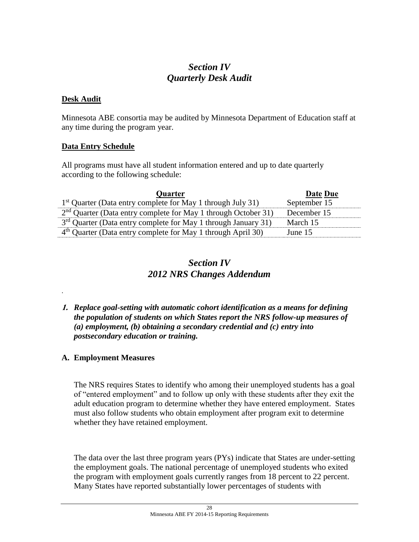# *Section IV Quarterly Desk Audit*

## **Desk Audit**

.

Minnesota ABE consortia may be audited by Minnesota Department of Education staff at any time during the program year.

## **Data Entry Schedule**

All programs must have all student information entered and up to date quarterly according to the following schedule:

| <b>Quarter</b>                                                             | Date Due     |
|----------------------------------------------------------------------------|--------------|
| 1 <sup>st</sup> Quarter (Data entry complete for May 1 through July 31)    | September 15 |
| $2nd$ Quarter (Data entry complete for May 1 through October 31)           | December 15  |
| 3 <sup>rd</sup> Quarter (Data entry complete for May 1 through January 31) | March 15     |
| $4th$ Quarter (Data entry complete for May 1 through April 30)             | June 15      |

# *Section IV 2012 NRS Changes Addendum*

## **1.** *Replace goal-setting with automatic cohort identification as a means for defining the population of students on which States report the NRS follow-up measures of (a) employment, (b) obtaining a secondary credential and (c) entry into postsecondary education or training.*

# **A. Employment Measures**

The NRS requires States to identify who among their unemployed students has a goal of "entered employment" and to follow up only with these students after they exit the adult education program to determine whether they have entered employment. States must also follow students who obtain employment after program exit to determine whether they have retained employment.

The data over the last three program years (PYs) indicate that States are under-setting the employment goals. The national percentage of unemployed students who exited the program with employment goals currently ranges from 18 percent to 22 percent. Many States have reported substantially lower percentages of students with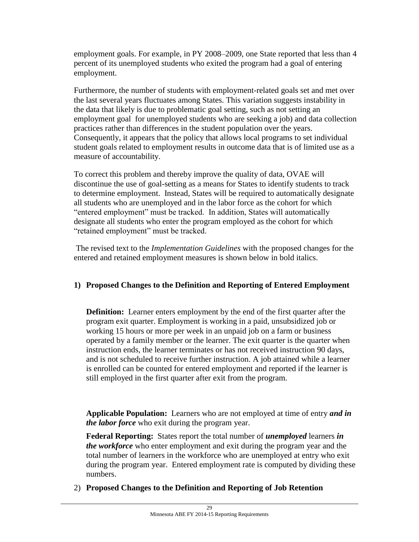employment goals. For example, in PY 2008–2009, one State reported that less than 4 percent of its unemployed students who exited the program had a goal of entering employment.

Furthermore, the number of students with employment-related goals set and met over the last several years fluctuates among States. This variation suggests instability in the data that likely is due to problematic goal setting, such as not setting an employment goal for unemployed students who are seeking a job) and data collection practices rather than differences in the student population over the years. Consequently, it appears that the policy that allows local programs to set individual student goals related to employment results in outcome data that is of limited use as a measure of accountability.

To correct this problem and thereby improve the quality of data, OVAE will discontinue the use of goal-setting as a means for States to identify students to track to determine employment. Instead, States will be required to automatically designate all students who are unemployed and in the labor force as the cohort for which "entered employment" must be tracked. In addition, States will automatically designate all students who enter the program employed as the cohort for which "retained employment" must be tracked.

The revised text to the *Implementation Guidelines* with the proposed changes for the entered and retained employment measures is shown below in bold italics.

# **1) Proposed Changes to the Definition and Reporting of Entered Employment**

**Definition:** Learner enters employment by the end of the first quarter after the program exit quarter. Employment is working in a paid, unsubsidized job or working 15 hours or more per week in an unpaid job on a farm or business operated by a family member or the learner. The exit quarter is the quarter when instruction ends, the learner terminates or has not received instruction 90 days, and is not scheduled to receive further instruction. A job attained while a learner is enrolled can be counted for entered employment and reported if the learner is still employed in the first quarter after exit from the program.

**Applicable Population:** Learners who are not employed at time of entry *and in the labor force* who exit during the program year.

**Federal Reporting:** States report the total number of *unemployed* learners *in the workforce* who enter employment and exit during the program year and the total number of learners in the workforce who are unemployed at entry who exit during the program year. Entered employment rate is computed by dividing these numbers.

2) **Proposed Changes to the Definition and Reporting of Job Retention**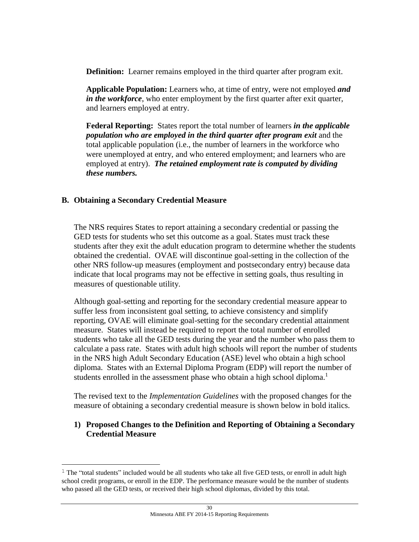**Definition:** Learner remains employed in the third quarter after program exit.

**Applicable Population:** Learners who, at time of entry, were not employed *and in the workforce*, who enter employment by the first quarter after exit quarter, and learners employed at entry.

**Federal Reporting:** States report the total number of learners *in the applicable population who are employed in the third quarter after program exit* and the total applicable population (i.e., the number of learners in the workforce who were unemployed at entry, and who entered employment; and learners who are employed at entry). *The retained employment rate is computed by dividing these numbers.*

# **B. Obtaining a Secondary Credential Measure**

 $\overline{\phantom{a}}$ 

The NRS requires States to report attaining a secondary credential or passing the GED tests for students who set this outcome as a goal. States must track these students after they exit the adult education program to determine whether the students obtained the credential. OVAE will discontinue goal-setting in the collection of the other NRS follow-up measures (employment and postsecondary entry) because data indicate that local programs may not be effective in setting goals, thus resulting in measures of questionable utility.

Although goal-setting and reporting for the secondary credential measure appear to suffer less from inconsistent goal setting, to achieve consistency and simplify reporting, OVAE will eliminate goal-setting for the secondary credential attainment measure. States will instead be required to report the total number of enrolled students who take all the GED tests during the year and the number who pass them to calculate a pass rate. States with adult high schools will report the number of students in the NRS high Adult Secondary Education (ASE) level who obtain a high school diploma. States with an External Diploma Program (EDP) will report the number of students enrolled in the assessment phase who obtain a high school diploma.<sup>1</sup>

The revised text to the *Implementation Guidelines* with the proposed changes for the measure of obtaining a secondary credential measure is shown below in bold italics.

# **1) Proposed Changes to the Definition and Reporting of Obtaining a Secondary Credential Measure**

 $1$  The "total students" included would be all students who take all five GED tests, or enroll in adult high school credit programs, or enroll in the EDP. The performance measure would be the number of students who passed all the GED tests, or received their high school diplomas, divided by this total.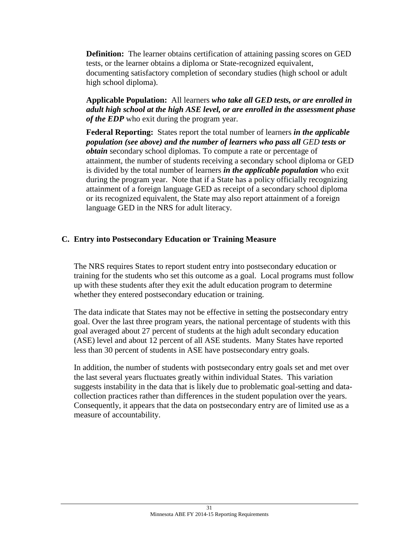**Definition:** The learner obtains certification of attaining passing scores on GED tests, or the learner obtains a diploma or State-recognized equivalent, documenting satisfactory completion of secondary studies (high school or adult high school diploma).

**Applicable Population:** All learners *who take all GED tests, or are enrolled in adult high school at the high ASE level, or are enrolled in the assessment phase of the EDP* who exit during the program year.

**Federal Reporting:** States report the total number of learners *in the applicable population (see above) and the number of learners who pass all GED tests or obtain* secondary school diplomas. To compute a rate or percentage of attainment, the number of students receiving a secondary school diploma or GED is divided by the total number of learners *in the applicable population* who exit during the program year. Note that if a State has a policy officially recognizing attainment of a foreign language GED as receipt of a secondary school diploma or its recognized equivalent, the State may also report attainment of a foreign language GED in the NRS for adult literacy.

# **C. Entry into Postsecondary Education or Training Measure**

The NRS requires States to report student entry into postsecondary education or training for the students who set this outcome as a goal. Local programs must follow up with these students after they exit the adult education program to determine whether they entered postsecondary education or training.

The data indicate that States may not be effective in setting the postsecondary entry goal. Over the last three program years, the national percentage of students with this goal averaged about 27 percent of students at the high adult secondary education (ASE) level and about 12 percent of all ASE students. Many States have reported less than 30 percent of students in ASE have postsecondary entry goals.

In addition, the number of students with postsecondary entry goals set and met over the last several years fluctuates greatly within individual States. This variation suggests instability in the data that is likely due to problematic goal-setting and datacollection practices rather than differences in the student population over the years. Consequently, it appears that the data on postsecondary entry are of limited use as a measure of accountability.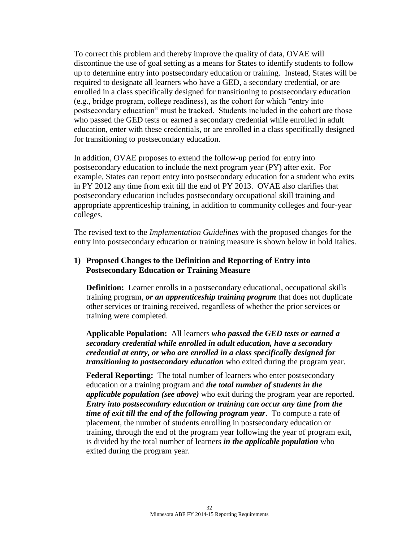To correct this problem and thereby improve the quality of data, OVAE will discontinue the use of goal setting as a means for States to identify students to follow up to determine entry into postsecondary education or training. Instead, States will be required to designate all learners who have a GED, a secondary credential, or are enrolled in a class specifically designed for transitioning to postsecondary education (e.g., bridge program, college readiness), as the cohort for which "entry into postsecondary education" must be tracked. Students included in the cohort are those who passed the GED tests or earned a secondary credential while enrolled in adult education, enter with these credentials, or are enrolled in a class specifically designed for transitioning to postsecondary education.

In addition, OVAE proposes to extend the follow-up period for entry into postsecondary education to include the next program year (PY) after exit. For example, States can report entry into postsecondary education for a student who exits in PY 2012 any time from exit till the end of PY 2013. OVAE also clarifies that postsecondary education includes postsecondary occupational skill training and appropriate apprenticeship training, in addition to community colleges and four-year colleges.

The revised text to the *Implementation Guidelines* with the proposed changes for the entry into postsecondary education or training measure is shown below in bold italics.

## **1) Proposed Changes to the Definition and Reporting of Entry into Postsecondary Education or Training Measure**

**Definition:** Learner enrolls in a postsecondary educational, occupational skills training program, *or an apprenticeship training program* that does not duplicate other services or training received, regardless of whether the prior services or training were completed.

**Applicable Population:** All learners *who passed the GED tests or earned a secondary credential while enrolled in adult education, have a secondary credential at entry, or who are enrolled in a class specifically designed for transitioning to postsecondary education* who exited during the program year.

**Federal Reporting:** The total number of learners who enter postsecondary education or a training program and *the total number of students in the applicable population (see above)* who exit during the program year are reported. *Entry into postsecondary education or training can occur any time from the time of exit till the end of the following program year*. To compute a rate of placement, the number of students enrolling in postsecondary education or training, through the end of the program year following the year of program exit, is divided by the total number of learners *in the applicable population* who exited during the program year.